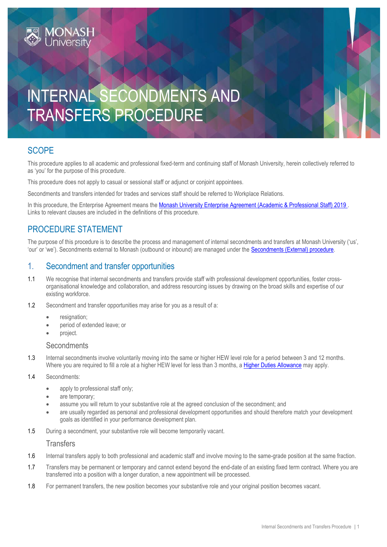# INTERNAL SECONDMENTS AND TRANSFERS PROCEDURE

## **SCOPE**

This procedure applies to all academic and professional fixed-term and continuing staff of Monash University, herein collectively referred to as 'you' for the purpose of this procedure.

This procedure does not apply to casual or sessional staff or adjunct or conjoint appointees.

Secondments and transfers intended for trades and services staff should be referred to Workplace Relations.

In this procedure, the Enterprise Agreement means the [Monash University Enterprise Agreement \(Academic & Professional Staff\) 2019](https://www.monash.edu/current-enterprise-agreements/academic-professional-2019). Links to relevant clauses are included in the definitions of this procedure.

## PROCEDURE STATEMENT

The purpose of this procedure is to describe the process and management of internal secondments and transfers at Monash University ('us', 'our' or 'we'). Secondments external to Monash (outbound or inbound) are managed under the [Secondments \(External\) procedure.](https://publicpolicydms.monash.edu/Monash/documents/1935684)

### 1. Secondment and transfer opportunities

- 1.1 We recognise that internal secondments and transfers provide staff with professional development opportunities, foster crossorganisational knowledge and collaboration, and address resourcing issues by drawing on the broad skills and expertise of our existing workforce.
- 1.2 Secondment and transfer opportunities may arise for you as a result of a:
	- resignation:
	- period of extended leave; or
	- project.

#### **Secondments**

1.3 Internal secondments involve voluntarily moving into the same or higher HEW level role for a period between 3 and 12 months. Where you are required to fill a role at a higher HEW level for less than 3 months, a [Higher Duties Allowance](https://www.monash.edu/current-enterprise-agreements/academic-professional-2014/79) may apply.

- 1.4 Secondments:
	- apply to professional staff only;
	- are temporary:
	- assume you will return to your substantive role at the agreed conclusion of the secondment; and
	- are usually regarded as personal and professional development opportunities and should therefore match your development goals as identified in your performance development plan.
- 1.5 During a secondment, your substantive role will become temporarily vacant.

#### **Transfers**

- 1.6 Internal transfers apply to both professional and academic staff and involve moving to the same-grade position at the same fraction.
- 1.7 Transfers may be permanent or temporary and cannot extend beyond the end-date of an existing fixed term contract. Where you are transferred into a position with a longer duration, a new appointment will be processed.
- 1.8 For permanent transfers, the new position becomes your substantive role and your original position becomes vacant.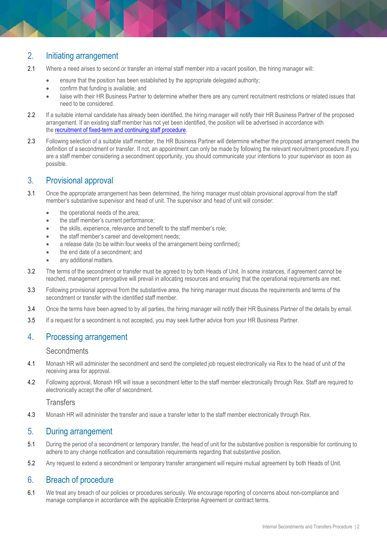# 2. Initiating arrangement

- 2.1 Where a need arises to second or transfer an internal staff member into a vacant position, the hiring manager will:
	- ensure that the position has been established by the appropriate delegated authority;
	- confirm that funding is available; and
	- liaise with their HR Business Partner to determine whether there are any current recruitment restrictions or related issues that need to be considered.
- 2.2 If a suitable internal candidate has already been identified, the hiring manager will notify their HR Business Partner of the proposed arrangement. If an existing staff member has not yet been identified, the position will be advertised in accordance with the [recruitment of fixed-term and continuing staff procedure.](https://publicpolicydms.monash.edu/Monash/documents/1935716)
- 2.3 Following selection of a suitable staff member, the HR Business Partner will determine whether the proposed arrangement meets the definition of a secondment or transfer. If not, an appointment can only be made by following the relevant recruitment procedure.If you are a staff member considering a secondment opportunity, you should communicate your intentions to your supervisor as soon as possible.

#### 3. Provisional approval

- 3.1 Once the appropriate arrangement has been determined, the hiring manager must obtain provisional approval from the staff member's substantive supervisor and head of unit. The supervisor and head of unit will consider:
	- the operational needs of the area;
	- the staff member's current performance;
	- the skills, experience, relevance and benefit to the staff member's role;
	- the staff member's career and development needs;
	- a release date (to be within four weeks of the arrangement being confirmed);
	- the end date of a secondment; and
	- any additional matters.
- 3.2 The terms of the secondment or transfer must be agreed to by both Heads of Unit. In some instances, if agreement cannot be reached, management prerogative will prevail in allocating resources and ensuring that the operational requirements are met.
- 3.3 Following provisional approval from the substantive area, the hiring manager must discuss the requirements and terms of the secondment or transfer with the identified staff member.
- 3.4 Once the terms have been agreed to by all parties, the hiring manager will notify their HR Business Partner of the details by email.
- 3.5 If a request for a secondment is not accepted, you may seek further advice from your HR Business Partner.

#### 4. Processing arrangement

#### **Secondments**

- 4.1 Monash HR will administer the secondment and send the completed job request electronically via Rex to the head of unit of the receiving area for approval.
- 4.2 Following approval, Monash HR will issue a secondment letter to the staff member electronically through Rex. Staff are required to electronically accept the offer of secondment.

**Transfers** 

4.3 Monash HR will administer the transfer and issue a transfer letter to the staff member electronically through Rex.

#### 5. During arrangement

- 5.1 During the period of a secondment or temporary transfer, the head of unit for the substantive position is responsible for continuing to adhere to any change notification and consultation requirements regarding that substantive position.
- 5.2 Any request to extend a secondment or temporary transfer arrangement will require mutual agreement by both Heads of Unit.

#### 6. Breach of procedure

6.1 We treat any breach of our policies or procedures seriously. We encourage reporting of concerns about non-compliance and manage compliance in accordance with the applicable Enterprise Agreement or contract terms.